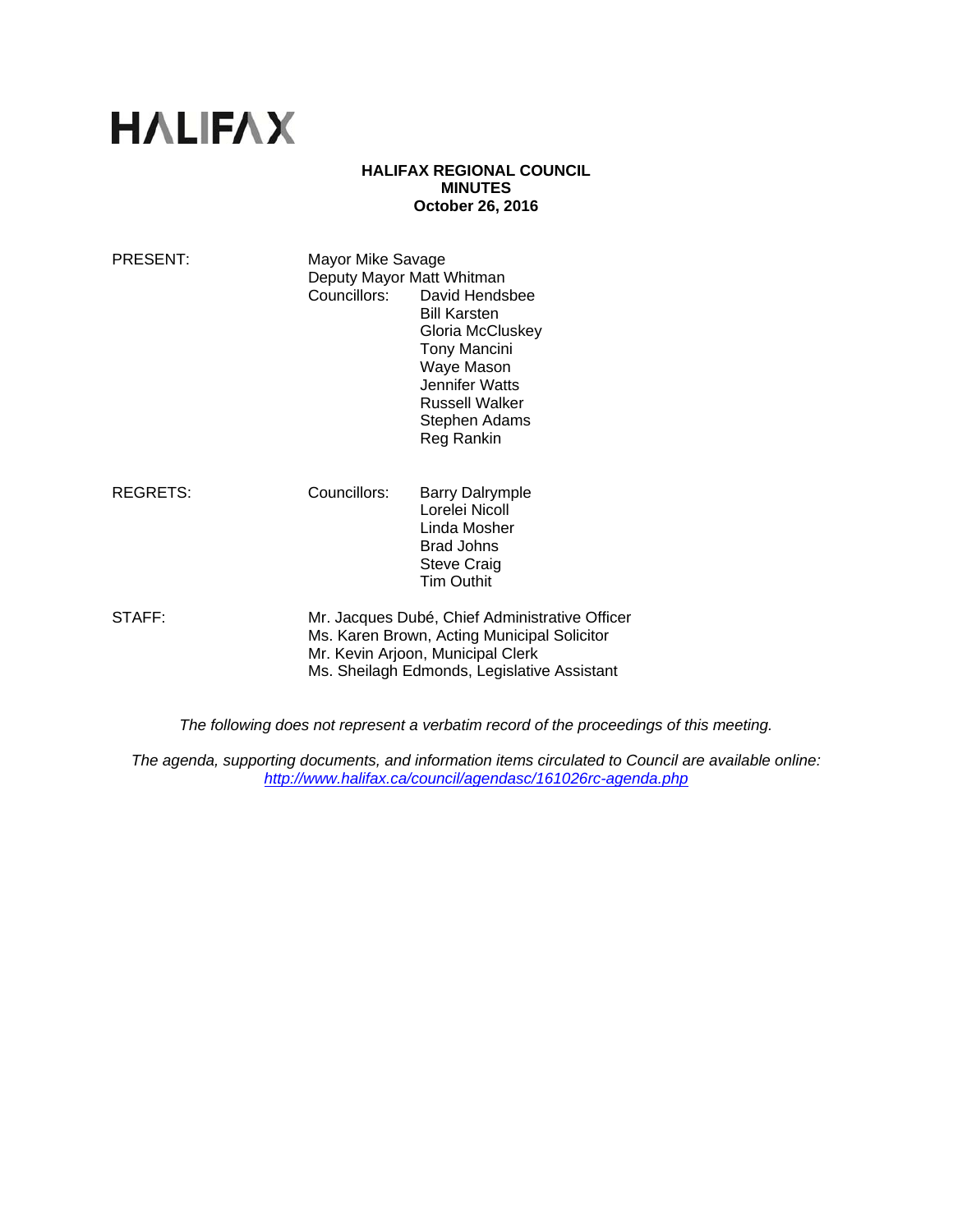# **HALIFAX**

#### **HALIFAX REGIONAL COUNCIL MINUTES October 26, 2016**

| PRESENT:        | Mayor Mike Savage<br>Deputy Mayor Matt Whitman                                                                                                                                    | Councillors: David Hendsbee<br><b>Bill Karsten</b><br>Gloria McCluskey<br><b>Tony Mancini</b><br>Waye Mason<br>Jennifer Watts<br>Russell Walker<br>Stephen Adams<br>Reg Rankin |
|-----------------|-----------------------------------------------------------------------------------------------------------------------------------------------------------------------------------|--------------------------------------------------------------------------------------------------------------------------------------------------------------------------------|
| <b>REGRETS:</b> | Councillors:                                                                                                                                                                      | <b>Barry Dalrymple</b><br>Lorelei Nicoll<br>Linda Mosher<br><b>Brad Johns</b><br><b>Steve Craig</b><br><b>Tim Outhit</b>                                                       |
| STAFF:          | Mr. Jacques Dubé, Chief Administrative Officer<br>Ms. Karen Brown, Acting Municipal Solicitor<br>Mr. Kevin Arjoon, Municipal Clerk<br>Ms. Sheilagh Edmonds, Legislative Assistant |                                                                                                                                                                                |

*The following does not represent a verbatim record of the proceedings of this meeting.* 

*The agenda, supporting documents, and information items circulated to Council are available online: http://www.halifax.ca/council/agendasc/161026rc-agenda.php*